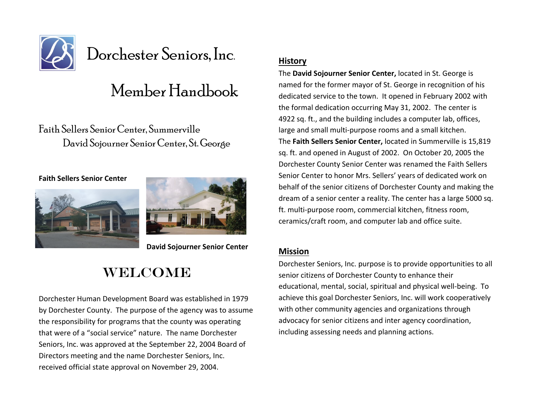

# Dorchester Seniors, Inc.

# Member Handbook

Faith Sellers Senior Center, Summerville David Sojourner Senior Center, St. George

**Faith Sellers Senior Center**





 **David Sojourner Senior Center**

### WELCOME

Dorchester Human Development Board was established in 1979 by Dorchester County. The purpose of the agency was to assume the responsibility for programs that the county was operating that were of a "social service" nature. The name Dorchester Seniors, Inc. was approved at the September 22, 2004 Board of Directors meeting and the name Dorchester Seniors, Inc. received official state approval on November 29, 2004.

### **History**

The **David Sojourner Senior Center,** located in St. George is named for the former mayor of St. George in recognition of his dedicated service to the town. It opened in February 2002 with the formal dedication occurring May 31, 2002. The center is 4922 sq. ft., and the building includes a computer lab, offices, large and small multi-purpose rooms and a small kitchen. The **Faith Sellers Senior Center,** located in Summerville is 15,819 sq. ft. and opened in August of 2002. On October 20, 2005 the Dorchester County Senior Center was renamed the Faith Sellers Senior Center to honor Mrs. Sellers' years of dedicated work on behalf of the senior citizens of Dorchester County and making the dream of a senior center a reality. The center has a large 5000 sq. ft. multi-purpose room, commercial kitchen, fitness room, ceramics/craft room, and computer lab and office suite.

### **Mission**

Dorchester Seniors, Inc. purpose is to provide opportunities to all senior citizens of Dorchester County to enhance their educational, mental, social, spiritual and physical well-being. To achieve this goal Dorchester Seniors, Inc. will work cooperatively with other community agencies and organizations through advocacy for senior citizens and inter agency coordination, including assessing needs and planning actions.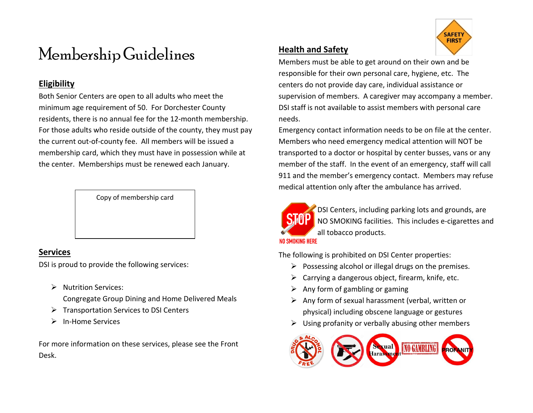# Membership Guidelines

### **Eligibility**

Both Senior Centers are open to all adults who meet the minimum age requirement of 50. For Dorchester County residents, there is no annual fee for the 12-month membership. For those adults who reside outside of the county, they must pay the current out-of-county fee. All members will be issued a membership card, which they must have in possession while at the center. Memberships must be renewed each January.

Copy of membership card

### **Services**

DSI is proud to provide the following services:

> Nutrition Services:

Congregate Group Dining and Home Delivered Meals

- $\triangleright$  Transportation Services to DSI Centers
- > In-Home Services

For more information on these services, please see the Front Desk.

### **Health and Safety**

Members must be able to get around on their own and be responsible for their own personal care, hygiene, etc. The centers do not provide day care, individual assistance or supervision of members. A caregiver may accompany a member. DSI staff is not available to assist members with personal care needs.

Emergency contact information needs to be on file at the center. Members who need emergency medical attention will NOT be transported to a doctor or hospital by center busses, vans or any member of the staff. In the event of an emergency, staff will call 911 and the member's emergency contact. Members may refuse medical attention only after the ambulance has arrived.



 DSI Centers, including parking lots and grounds, are NO SMOKING facilities. This includes e-cigarettes and all tobacco products.

The following is prohibited on DSI Center properties:

- $\triangleright$  Possessing alcohol or illegal drugs on the premises.
- $\triangleright$  Carrying a dangerous object, firearm, knife, etc.
- $\triangleright$  Any form of gambling or gaming
- $\triangleright$  Any form of sexual harassment (verbal, written or physical) including obscene language or gestures
- $\triangleright$  Using profanity or verbally abusing other members



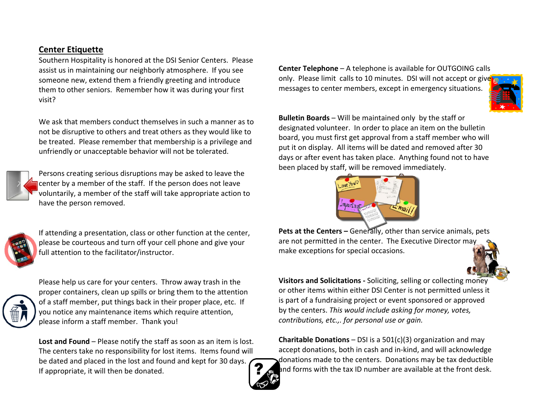### **Center Etiquette**

Southern Hospitality is honored at the DSI Senior Centers. Please assist us in maintaining our neighborly atmosphere. If you see someone new, extend them a friendly greeting and introduce them to other seniors. Remember how it was during your first visit?

We ask that members conduct themselves in such a manner as to not be disruptive to others and treat others as they would like to be treated. Please remember that membership is a privilege and unfriendly or unacceptable behavior will not be tolerated.



Persons creating serious disruptions may be asked to leave the center by a member of the staff. If the person does not leave voluntarily, a member of the staff will take appropriate action to have the person removed.



If attending a presentation, class or other function at the center, please be courteous and turn off your cell phone and give your full attention to the facilitator/instructor.



Please help us care for your centers. Throw away trash in the proper containers, clean up spills or bring them to the attention of a staff member, put things back in their proper place, etc. If you notice any maintenance items which require attention, please inform a staff member. Thank you!

**Lost and Found** – Please notify the staff as soon as an item is lost. The centers take no responsibility for lost items. Items found will be dated and placed in the lost and found and kept for 30 days. If appropriate, it will then be donated.





**Bulletin Boards** – Will be maintained only by the staff or designated volunteer. In order to place an item on the bulletin board, you must first get approval from a staff member who will put it on display. All items will be dated and removed after 30 days or after event has taken place. Anything found not to have been placed by staff, will be removed immediately.



**Pets at the Centers –** Generally, other than service animals, pets are not permitted in the center. The Executive Director may make exceptions for special occasions.



**Visitors and Solicitations -** Soliciting, selling or collecting money or other items within either DSI Center is not permitted unless it is part of a fundraising project or event sponsored or approved by the centers. *This would include asking for money, votes, contributions, etc.,. for personal use or gain.*

**Charitable Donations** – DSI is a 501(c)(3) organization and may accept donations, both in cash and in-kind, and will acknowledge donations made to the centers. Donations may be tax deductible and forms with the tax ID number are available at the front desk.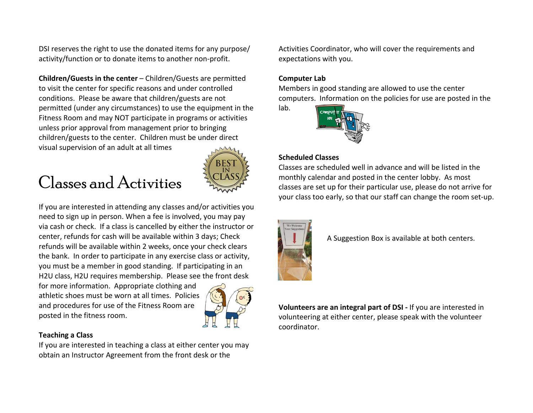DSI reserves the right to use the donated items for any purpose/ activity/function or to donate items to another non-profit.

**Children/Guests in the center** – Children/Guests are permitted to visit the center for specific reasons and under controlled conditions. Please be aware that children/guests are not permitted (under any circumstances) to use the equipment in the Fitness Room and may NOT participate in programs or activities unless prior approval from management prior to bringing children/guests to the center. Children must be under direct visual supervision of an adult at all times

# Classes and Activities



If you are interested in attending any classes and/or activities you need to sign up in person. When a fee is involved, you may pay via cash or check. If a class is cancelled by either the instructor or center, refunds for cash will be available within 3 days; Check refunds will be available within 2 weeks, once your check clears the bank. In order to participate in any exercise class or activity, you must be a member in good standing. If participating in an H2U class, H2U requires membership. Please see the front desk

for more information. Appropriate clothing and athletic shoes must be worn at all times. Policies and procedures for use of the Fitness Room are posted in the fitness room.



### **Teaching a Class**

If you are interested in teaching a class at either center you may obtain an Instructor Agreement from the front desk or the

Activities Coordinator, who will cover the requirements and expectations with you.

### **Computer Lab**

lab.

Members in good standing are allowed to use the center computers. Information on the policies for use are posted in the



### **Scheduled Classes**

Classes are scheduled well in advance and will be listed in the monthly calendar and posted in the center lobby. As most classes are set up for their particular use, please do not arrive for your class too early, so that our staff can change the room set-up.



A Suggestion Box is available at both centers.

**Volunteers are an integral part of DSI -** If you are interested in volunteering at either center, please speak with the volunteer coordinator.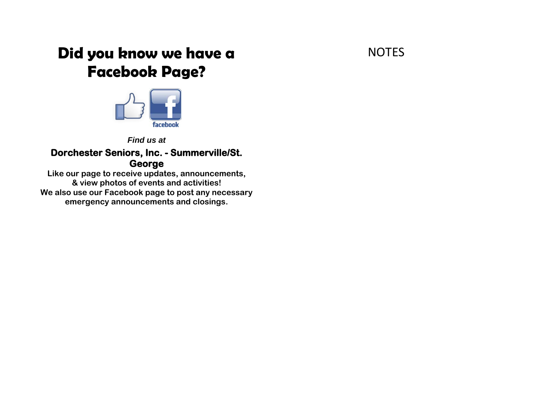### **NOTES**

### **Did you know we have a Facebook Page?**



### *Find us at*

### **Dorchester Seniors, Inc. - Summerville/St. George**

**Like our page to receive updates, announcements, & view photos of events and activities! We also use our Facebook page to post any necessary emergency announcements and closings.**